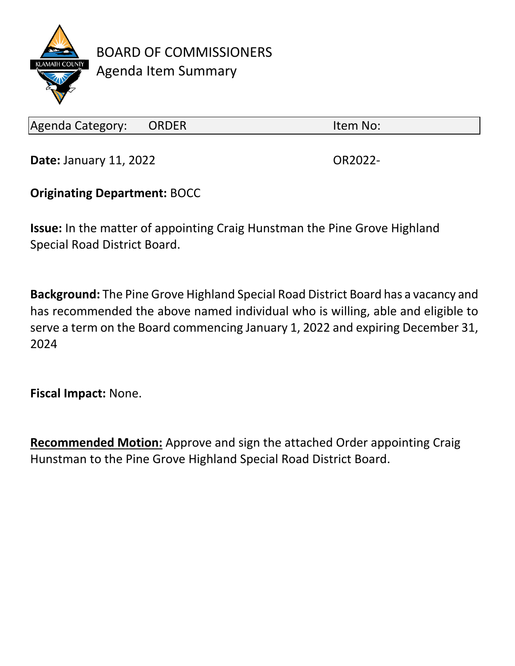

BOARD OF COMMISSIONERS Agenda Item Summary

Agenda Category: ORDER Item No:

**Date:** January 11, 2022 **OR2022-**

## **Originating Department:** BOCC

**Issue:** In the matter of appointing Craig Hunstman the Pine Grove Highland Special Road District Board.

**Background:** The Pine Grove Highland Special Road District Board has a vacancy and has recommended the above named individual who is willing, able and eligible to serve a term on the Board commencing January 1, 2022 and expiring December 31, 2024

**Fiscal Impact:** None.

**Recommended Motion:** Approve and sign the attached Order appointing Craig Hunstman to the Pine Grove Highland Special Road District Board.